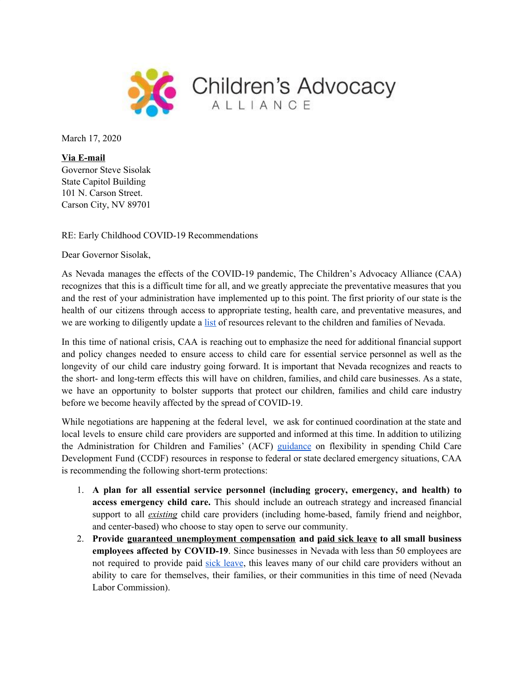

March 17, 2020

**Via E-mail** Governor Steve Sisolak State Capitol Building 101 N. Carson Street. Carson City, NV 89701

RE: Early Childhood COVID-19 Recommendations

Dear Governor Sisolak,

As Nevada manages the effects of the COVID-19 pandemic, The Children's Advocacy Alliance (CAA) recognizes that this is a difficult time for all, and we greatly appreciate the preventative measures that you and the rest of your administration have implemented up to this point. The first priority of our state is the health of our citizens through access to appropriate testing, health care, and preventative measures, and we are working to diligently update a [list](https://www.caanv.org/coronavirus-resource-center/) of resources relevant to the children and families of Nevada.

In this time of national crisis, CAA is reaching out to emphasize the need for additional financial support and policy changes needed to ensure access to child care for essential service personnel as well as the longevity of our child care industry going forward. It is important that Nevada recognizes and reacts to the short- and long-term effects this will have on children, families, and child care businesses. As a state, we have an opportunity to bolster supports that protect our children, families and child care industry before we become heavily affected by the spread of COVID-19.

While negotiations are happening at the federal level, we ask for continued coordination at the state and local levels to ensure child care providers are supported and informed at this time. In addition to utilizing the Administration for Children and Families' (ACF) [guidance](https://www.acf.hhs.gov/occ/resource/im-2017-02) on flexibility in spending Child Care Development Fund (CCDF) resources in response to federal or state declared emergency situations, CAA is recommending the following short-term protections:

- 1. **A plan for all essential service personnel (including grocery, emergency, and health) to access emergency child care.** This should include an outreach strategy and increased financial support to all *existing* child care providers (including home-based, family friend and neighbor, and center-based) who choose to stay open to serve our community.
- 2. **Provide guaranteed unemployment compensation and paid sick leave to all small business employees affected by COVID-19**. Since businesses in Nevada with less than 50 employees are not required to provide paid sick [leave](https://nvhealthresponse.nv.gov/wp-content/uploads/2020/03/SB-312-Paid-Leave-English.pdf), this leaves many of our child care providers without an ability to care for themselves, their families, or their communities in this time of need (Nevada Labor Commission).